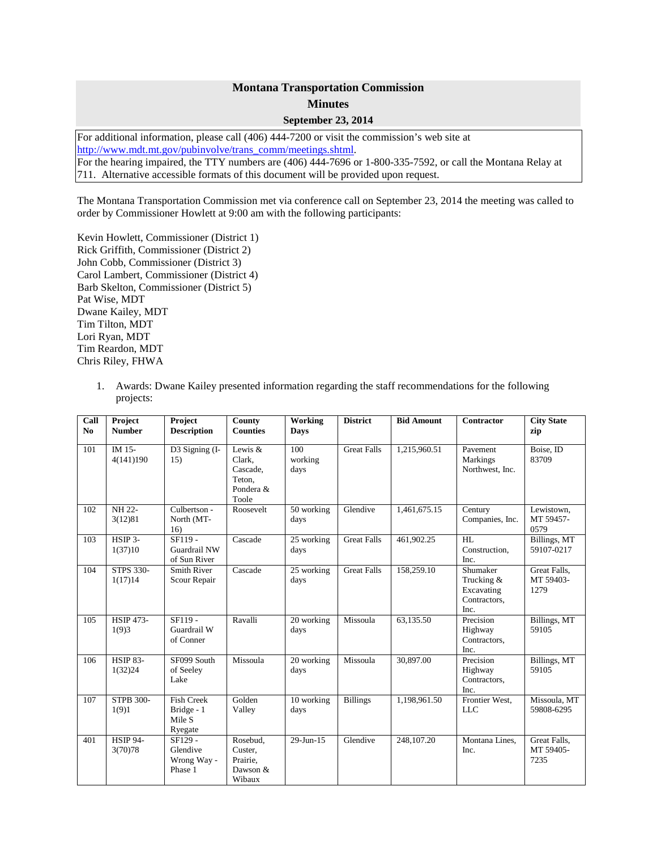## **Montana Transportation Commission Minutes**

## **September 23, 2014**

For additional information, please call (406) 444-7200 or visit the commission's web site at [http://www.mdt.mt.gov/pubinvolve/trans\\_comm/meetings.shtml.](http://www.mdt.mt.gov/pubinvolve/trans_comm/meetings.shtml) For the hearing impaired, the TTY numbers are (406) 444-7696 or 1-800-335-7592, or call the Montana Relay at 711. Alternative accessible formats of this document will be provided upon request.

The Montana Transportation Commission met via conference call on September 23, 2014 the meeting was called to order by Commissioner Howlett at 9:00 am with the following participants:

Kevin Howlett, Commissioner (District 1) Rick Griffith, Commissioner (District 2) John Cobb, Commissioner (District 3) Carol Lambert, Commissioner (District 4) Barb Skelton, Commissioner (District 5) Pat Wise, MDT Dwane Kailey, MDT Tim Tilton, MDT Lori Ryan, MDT Tim Reardon, MDT Chris Riley, FHWA

1. Awards: Dwane Kailey presented information regarding the staff recommendations for the following projects:

| Call<br>N <sub>0</sub> | Project<br><b>Number</b>    | Project<br><b>Description</b>                        | County<br><b>Counties</b>                                       | Working<br><b>Days</b> | <b>District</b>    | <b>Bid Amount</b> | <b>Contractor</b>                                            | <b>City State</b><br>zip          |
|------------------------|-----------------------------|------------------------------------------------------|-----------------------------------------------------------------|------------------------|--------------------|-------------------|--------------------------------------------------------------|-----------------------------------|
| 101                    | IM 15-<br>4(141)190         | D3 Signing (I-<br>15)                                | Lewis $&$<br>Clark.<br>Cascade.<br>Teton,<br>Pondera &<br>Toole | 100<br>working<br>days | <b>Great Falls</b> | 1,215,960.51      | Pavement<br>Markings<br>Northwest, Inc.                      | Boise, ID<br>83709                |
| 102                    | NH 22-<br>3(12)81           | Culbertson -<br>North (MT-<br>16)                    | Roosevelt                                                       | 50 working<br>days     | Glendive           | 1,461,675.15      | Century<br>Companies, Inc.                                   | Lewistown,<br>MT 59457-<br>0579   |
| 103                    | HSIP 3-<br>1(37)10          | $SF119 -$<br>Guardrail NW<br>of Sun River            | Cascade                                                         | 25 working<br>days     | <b>Great Falls</b> | 461,902.25        | HL<br>Construction,<br>Inc.                                  | Billings, MT<br>59107-0217        |
| 104                    | <b>STPS 330-</b><br>1(17)14 | <b>Smith River</b><br>Scour Repair                   | Cascade                                                         | 25 working<br>days     | <b>Great Falls</b> | 158,259.10        | Shumaker<br>Trucking &<br>Excavating<br>Contractors,<br>Inc. | Great Falls,<br>MT 59403-<br>1279 |
| 105                    | <b>HSIP 473-</b><br>1(9)3   | SF119 -<br>Guardrail W<br>of Conner                  | Ravalli                                                         | 20 working<br>days     | Missoula           | 63,135.50         | Precision<br>Highway<br>Contractors,<br>Inc.                 | Billings, MT<br>59105             |
| 106                    | <b>HSIP 83-</b><br>1(32)24  | SF099 South<br>of Seeley<br>Lake                     | Missoula                                                        | 20 working<br>days     | Missoula           | 30,897.00         | Precision<br>Highway<br>Contractors,<br>Inc.                 | Billings, MT<br>59105             |
| 107                    | <b>STPB 300-</b><br>1(9)1   | <b>Fish Creek</b><br>Bridge - 1<br>Mile S<br>Ryegate | Golden<br>Valley                                                | 10 working<br>days     | <b>Billings</b>    | 1,198,961.50      | Frontier West,<br><b>LLC</b>                                 | Missoula, MT<br>59808-6295        |
| 401                    | <b>HSIP 94-</b><br>3(70)78  | SF129 -<br>Glendive<br>Wrong Way -<br>Phase 1        | Rosebud,<br>Custer,<br>Prairie,<br>Dawson $&$<br>Wibaux         | 29-Jun-15              | Glendive           | 248,107.20        | Montana Lines,<br>Inc.                                       | Great Falls,<br>MT 59405-<br>7235 |